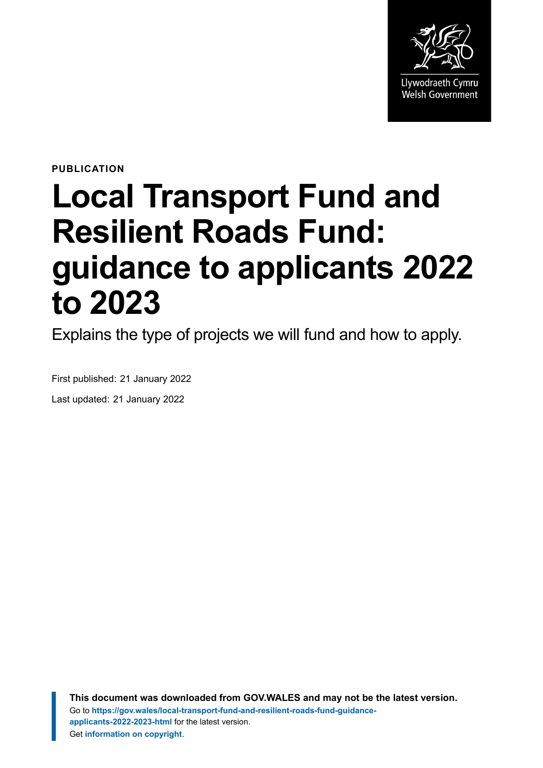

**PUBLICATION**

# **Local Transport Fund and Resilient Roads Fund: guidance to applicants 2022 to 2023**

Explains the type of projects we will fund and how to apply.

First published: 21 January 2022 Last updated: 21 January 2022

> **This document was downloaded from GOV.WALES and may not be the latest version.** Go to **[https://gov.wales/local-transport-fund-and-resilient-roads-fund-guidance](https://gov.wales/local-transport-fund-and-resilient-roads-fund-guidance-applicants-2022-2023-html)[applicants-2022-2023-html](https://gov.wales/local-transport-fund-and-resilient-roads-fund-guidance-applicants-2022-2023-html)** for the latest version. Get **[information on copyright](https://gov.wales/copyright-statement)**.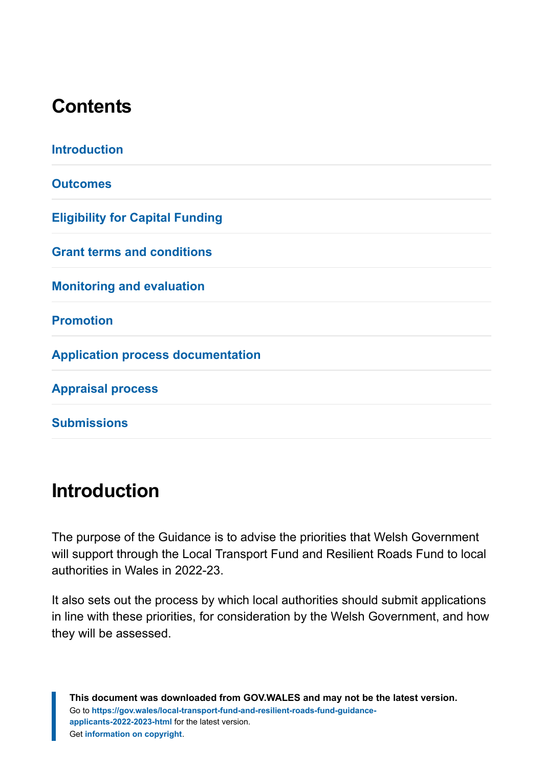### **Contents**

| <b>Introduction</b>                      |
|------------------------------------------|
| <b>Outcomes</b>                          |
| <b>Eligibility for Capital Funding</b>   |
| <b>Grant terms and conditions</b>        |
| <b>Monitoring and evaluation</b>         |
| <b>Promotion</b>                         |
| <b>Application process documentation</b> |
| <b>Appraisal process</b>                 |
| <b>Submissions</b>                       |

### <span id="page-1-0"></span>**Introduction**

The purpose of the Guidance is to advise the priorities that Welsh Government will support through the Local Transport Fund and Resilient Roads Fund to local authorities in Wales in 2022-23.

It also sets out the process by which local authorities should submit applications in line with these priorities, for consideration by the Welsh Government, and how they will be assessed.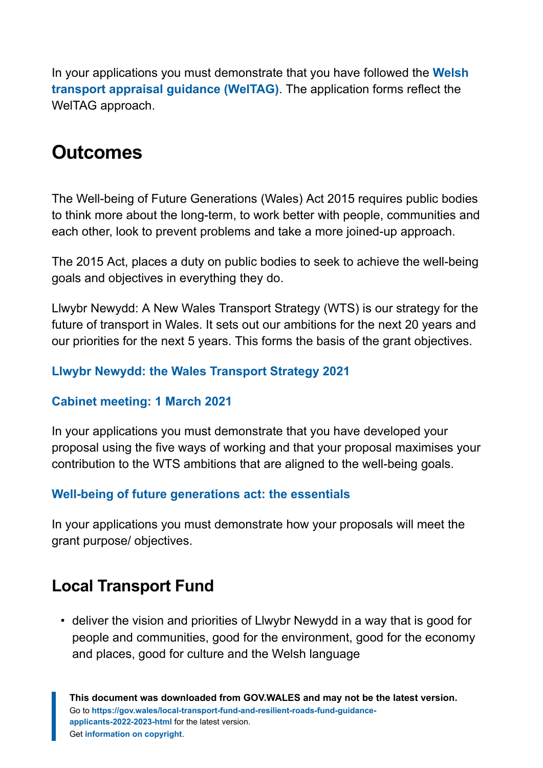In your applications you must demonstrate that you have followed the **[Welsh](https://gov.wales/welsh-transport-appraisal-guidance-weltag) [transport appraisal guidance \(WelTAG\)](https://gov.wales/welsh-transport-appraisal-guidance-weltag)**. The application forms reflect the WelTAG approach.

#### <span id="page-2-0"></span>**Outcomes**

The Well-being of Future Generations (Wales) Act 2015 requires public bodies to think more about the long-term, to work better with people, communities and each other, look to prevent problems and take a more joined-up approach.

The 2015 Act, places a duty on public bodies to seek to achieve the well-being goals and objectives in everything they do.

Llwybr Newydd: A New Wales Transport Strategy (WTS) is our strategy for the future of transport in Wales. It sets out our ambitions for the next 20 years and our priorities for the next 5 years. This forms the basis of the grant objectives.

#### **[Llwybr Newydd: the Wales Transport Strategy 2021](https://gov.wales/llwybr-newydd-wales-transport-strategy-2021)**

#### **[Cabinet meeting: 1 March 2021](https://eur01.safelinks.protection.outlook.com/?url=https%3A%2F%2Fwww.webarchive.org.uk%2Fwayback%2Fen%2Farchive%2F20210615101656%2Fhttps%3A%2Fgov.wales%2Fcabinet-meeting-1-march-2021&data=04%7C01%7CGareth.O.Evans%40gov.wales%7C941a3155309947e7e2bd08d962379a85%7Ca2cc36c592804ae78887d06dab89216b%7C0%7C0%7C637648813213788623%7CUnknown%7CTWFpbGZsb3d8eyJWIjoiMC4wLjAwMDAiLCJQIjoiV2luMzIiLCJBTiI6Ik1haWwiLCJXVCI6Mn0%3D%7C1000&sdata=a9DMaOWoo9t3c%2F6Zg8WRkCQjEZR9LiQZ9tlEhhFoVn8%3D&reserved=0)**

In your applications you must demonstrate that you have developed your proposal using the five ways of working and that your proposal maximises your contribution to the WTS ambitions that are aligned to the well-being goals.

#### **[Well-being of future generations act: the essentials](https://gov.wales/well-being-future-generations-act-essentials)**

In your applications you must demonstrate how your proposals will meet the grant purpose/ objectives.

#### **Local Transport Fund**

• deliver the vision and priorities of Llwybr Newydd in a way that is good for people and communities, good for the environment, good for the economy and places, good for culture and the Welsh language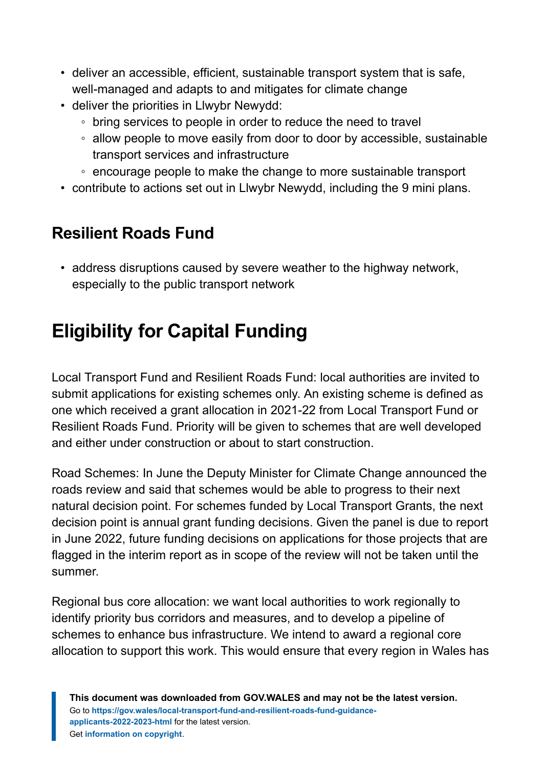- deliver an accessible, efficient, sustainable transport system that is safe, well-managed and adapts to and mitigates for climate change
- deliver the priorities in Llwybr Newydd:
	- bring services to people in order to reduce the need to travel
	- allow people to move easily from door to door by accessible, sustainable transport services and infrastructure
	- encourage people to make the change to more sustainable transport
- contribute to actions set out in Llwybr Newydd, including the 9 mini plans.

#### **Resilient Roads Fund**

• address disruptions caused by severe weather to the highway network, especially to the public transport network

# <span id="page-3-0"></span>**Eligibility for Capital Funding**

Local Transport Fund and Resilient Roads Fund: local authorities are invited to submit applications for existing schemes only. An existing scheme is defined as one which received a grant allocation in 2021-22 from Local Transport Fund or Resilient Roads Fund. Priority will be given to schemes that are well developed and either under construction or about to start construction.

Road Schemes: In June the Deputy Minister for Climate Change announced the roads review and said that schemes would be able to progress to their next natural decision point. For schemes funded by Local Transport Grants, the next decision point is annual grant funding decisions. Given the panel is due to report in June 2022, future funding decisions on applications for those projects that are flagged in the interim report as in scope of the review will not be taken until the summer.

Regional bus core allocation: we want local authorities to work regionally to identify priority bus corridors and measures, and to develop a pipeline of schemes to enhance bus infrastructure. We intend to award a regional core allocation to support this work. This would ensure that every region in Wales has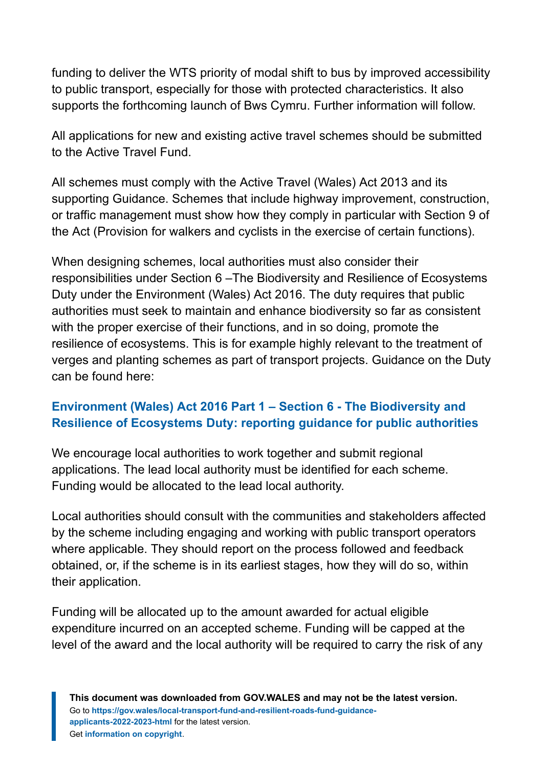funding to deliver the WTS priority of modal shift to bus by improved accessibility to public transport, especially for those with protected characteristics. It also supports the forthcoming launch of Bws Cymru. Further information will follow.

All applications for new and existing active travel schemes should be submitted to the Active Travel Fund.

All schemes must comply with the Active Travel (Wales) Act 2013 and its supporting Guidance. Schemes that include highway improvement, construction, or traffic management must show how they comply in particular with Section 9 of the Act (Provision for walkers and cyclists in the exercise of certain functions).

When designing schemes, local authorities must also consider their responsibilities under Section 6 –The Biodiversity and Resilience of Ecosystems Duty under the Environment (Wales) Act 2016. The duty requires that public authorities must seek to maintain and enhance biodiversity so far as consistent with the proper exercise of their functions, and in so doing, promote the resilience of ecosystems. This is for example highly relevant to the treatment of verges and planting schemes as part of transport projects. Guidance on the Duty can be found here:

#### **[Environment \(Wales\) Act 2016 Part 1 – Section 6 - The Biodiversity and](https://gov.wales/environment-wales-act-2016-part-1-section-6-biodiversity-and-resilience-ecosystems-duty-reporting-0) [Resilience of Ecosystems Duty: reporting guidance for public authorities](https://gov.wales/environment-wales-act-2016-part-1-section-6-biodiversity-and-resilience-ecosystems-duty-reporting-0)**

We encourage local authorities to work together and submit regional applications. The lead local authority must be identified for each scheme. Funding would be allocated to the lead local authority.

Local authorities should consult with the communities and stakeholders affected by the scheme including engaging and working with public transport operators where applicable. They should report on the process followed and feedback obtained, or, if the scheme is in its earliest stages, how they will do so, within their application.

Funding will be allocated up to the amount awarded for actual eligible expenditure incurred on an accepted scheme. Funding will be capped at the level of the award and the local authority will be required to carry the risk of any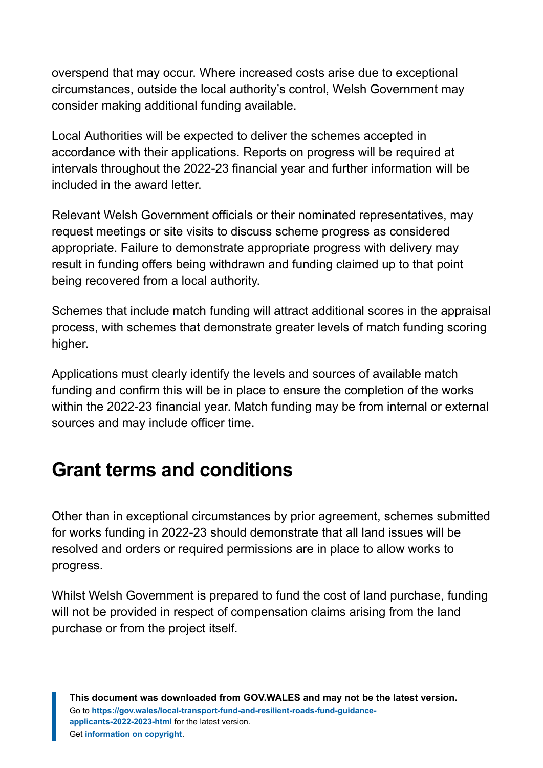overspend that may occur. Where increased costs arise due to exceptional circumstances, outside the local authority's control, Welsh Government may consider making additional funding available.

Local Authorities will be expected to deliver the schemes accepted in accordance with their applications. Reports on progress will be required at intervals throughout the 2022-23 financial year and further information will be included in the award letter.

Relevant Welsh Government officials or their nominated representatives, may request meetings or site visits to discuss scheme progress as considered appropriate. Failure to demonstrate appropriate progress with delivery may result in funding offers being withdrawn and funding claimed up to that point being recovered from a local authority.

Schemes that include match funding will attract additional scores in the appraisal process, with schemes that demonstrate greater levels of match funding scoring higher.

Applications must clearly identify the levels and sources of available match funding and confirm this will be in place to ensure the completion of the works within the 2022-23 financial year. Match funding may be from internal or external sources and may include officer time.

# <span id="page-5-0"></span>**Grant terms and conditions**

Other than in exceptional circumstances by prior agreement, schemes submitted for works funding in 2022-23 should demonstrate that all land issues will be resolved and orders or required permissions are in place to allow works to progress.

Whilst Welsh Government is prepared to fund the cost of land purchase, funding will not be provided in respect of compensation claims arising from the land purchase or from the project itself.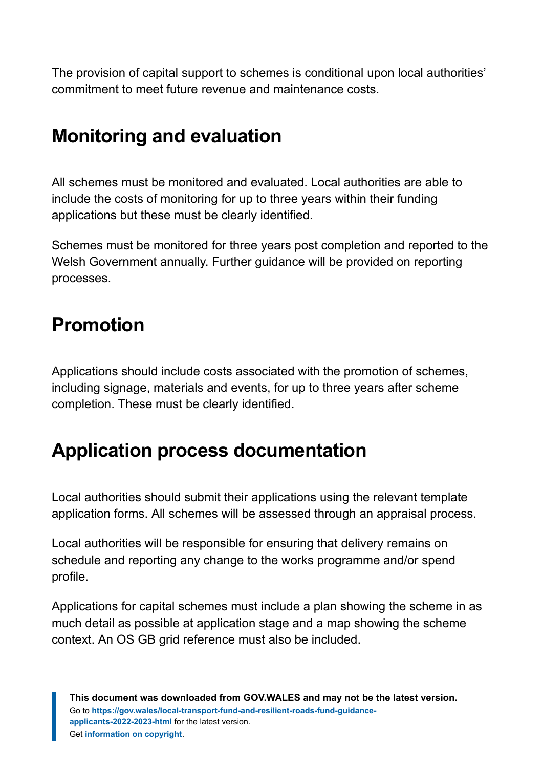The provision of capital support to schemes is conditional upon local authorities' commitment to meet future revenue and maintenance costs.

# <span id="page-6-0"></span>**Monitoring and evaluation**

All schemes must be monitored and evaluated. Local authorities are able to include the costs of monitoring for up to three years within their funding applications but these must be clearly identified.

Schemes must be monitored for three years post completion and reported to the Welsh Government annually. Further guidance will be provided on reporting processes.

# <span id="page-6-1"></span>**Promotion**

Applications should include costs associated with the promotion of schemes, including signage, materials and events, for up to three years after scheme completion. These must be clearly identified.

# <span id="page-6-2"></span>**Application process documentation**

Local authorities should submit their applications using the relevant template application forms. All schemes will be assessed through an appraisal process.

Local authorities will be responsible for ensuring that delivery remains on schedule and reporting any change to the works programme and/or spend profile.

Applications for capital schemes must include a plan showing the scheme in as much detail as possible at application stage and a map showing the scheme context. An OS GB grid reference must also be included.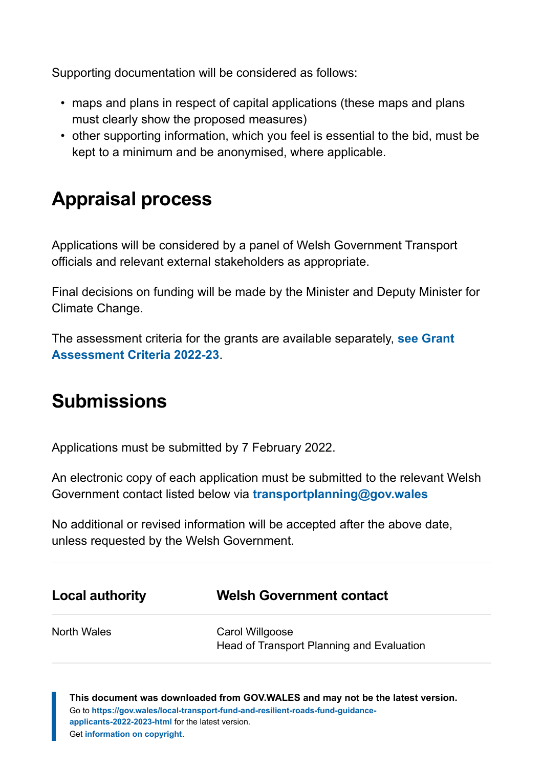Supporting documentation will be considered as follows:

- maps and plans in respect of capital applications (these maps and plans must clearly show the proposed measures)
- other supporting information, which you feel is essential to the bid, must be kept to a minimum and be anonymised, where applicable.

# <span id="page-7-0"></span>**Appraisal process**

Applications will be considered by a panel of Welsh Government Transport officials and relevant external stakeholders as appropriate.

Final decisions on funding will be made by the Minister and Deputy Minister for Climate Change.

The assessment criteria for the grants are available separately, **[see Grant](https://gov.wales/local-transport-fund-and-resilient-roads-fund-grant-assessment-criteria-2022-2023-html) [Assessment Criteria 2022-23](https://gov.wales/local-transport-fund-and-resilient-roads-fund-grant-assessment-criteria-2022-2023-html)**.

# <span id="page-7-1"></span>**Submissions**

Applications must be submitted by 7 February 2022.

An electronic copy of each application must be submitted to the relevant Welsh Government contact listed below via **[transportplanning@gov.wales](mailto:transportplanning@gov.wales)**

No additional or revised information will be accepted after the above date, unless requested by the Welsh Government.

| <b>Local authority</b> | <b>Welsh Government contact</b>                              |
|------------------------|--------------------------------------------------------------|
| North Wales            | Carol Willgoose<br>Head of Transport Planning and Evaluation |

**This document was downloaded from GOV.WALES and may not be the latest version.** Go to **[https://gov.wales/local-transport-fund-and-resilient-roads-fund-guidance](https://gov.wales/local-transport-fund-and-resilient-roads-fund-guidance-applicants-2022-2023-html)[applicants-2022-2023-html](https://gov.wales/local-transport-fund-and-resilient-roads-fund-guidance-applicants-2022-2023-html)** for the latest version. Get **[information on copyright](https://gov.wales/copyright-statement)**.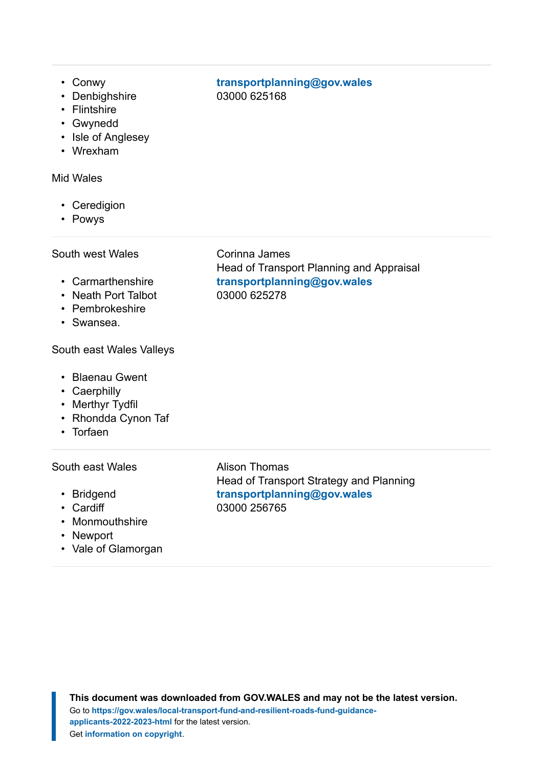- Conwy
- Denbighshire
- Flintshire
- Gwynedd
- Isle of Anglesey
- Wrexham

#### Mid Wales

- Ceredigion
- Powys

#### South west Wales

- Carmarthenshire
- Neath Port Talbot
- Pembrokeshire
- Swansea.

#### South east Wales Valleys

- Blaenau Gwent
- Caerphilly
- Merthyr Tydfil
- Rhondda Cynon Taf
- Torfaen

#### South east Wales

- Bridgend
- Cardiff
- Monmouthshire
- Newport
- Vale of Glamorgan

#### Corinna James Head of Transport Planning and Appraisal **[transportplanning@gov.wales](mailto:transportplanning@gov.wales)** 03000 625278

**[transportplanning@gov.wales](mailto:transportplanning@gov.wales)**

03000 625168

Alison Thomas Head of Transport Strategy and Planning **[transportplanning@gov.wales](mailto:transportplanning@gov.wales)** 03000 256765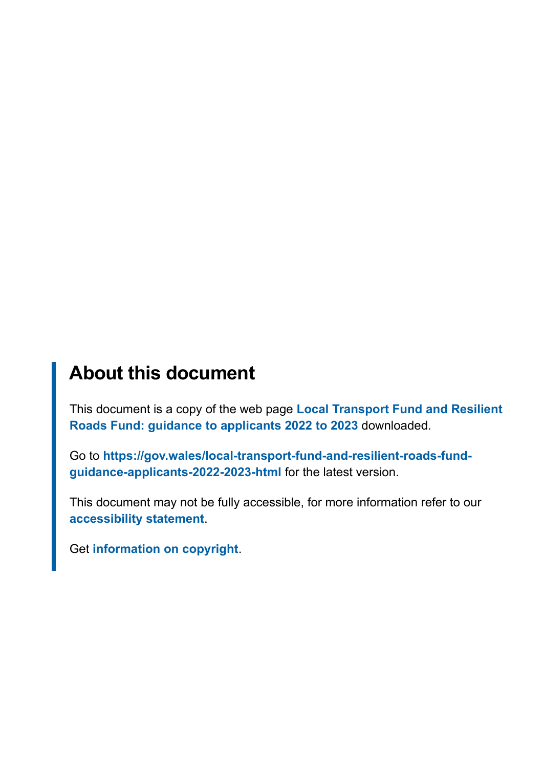### **About this document**

This document is a copy of the web page **[Local Transport Fund and Resilient](https://gov.wales/local-transport-fund-and-resilient-roads-fund-guidance-applicants-2022-2023-html) [Roads Fund: guidance to applicants 2022 to 2023](https://gov.wales/local-transport-fund-and-resilient-roads-fund-guidance-applicants-2022-2023-html)** downloaded.

Go to **[https://gov.wales/local-transport-fund-and-resilient-roads-fund](https://gov.wales/local-transport-fund-and-resilient-roads-fund-guidance-applicants-2022-2023-html)[guidance-applicants-2022-2023-html](https://gov.wales/local-transport-fund-and-resilient-roads-fund-guidance-applicants-2022-2023-html)** for the latest version.

This document may not be fully accessible, for more information refer to our **[accessibility statement](https://gov.wales/accessibility-statement-govwales)**.

Get **[information on copyright](https://gov.wales/copyright-statement)**.